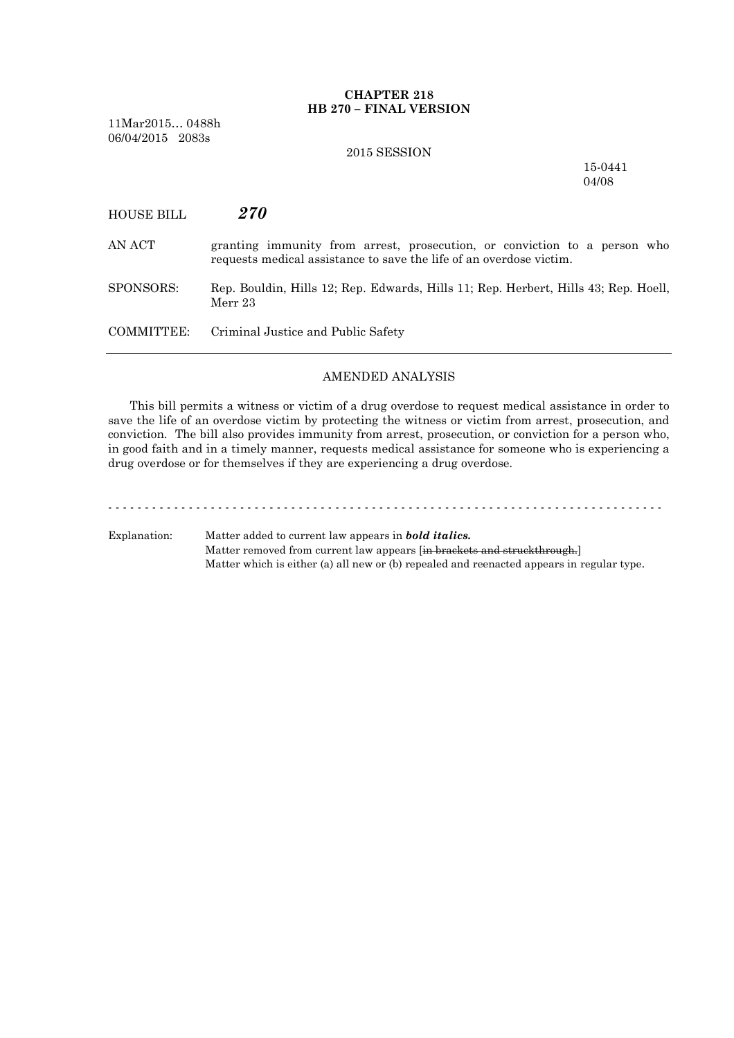# **CHAPTER 218 HB 270 – FINAL VERSION**

11Mar2015… 0488h 06/04/2015 2083s

### 2015 SESSION

15-0441 04/08

| HOUSE BILL | 270 |
|------------|-----|
|------------|-----|

- AN ACT granting immunity from arrest, prosecution, or conviction to a person who requests medical assistance to save the life of an overdose victim.
- SPONSORS: Rep. Bouldin, Hills 12; Rep. Edwards, Hills 11; Rep. Herbert, Hills 43; Rep. Hoell, Merr 23

COMMITTEE: Criminal Justice and Public Safety

## AMENDED ANALYSIS

This bill permits a witness or victim of a drug overdose to request medical assistance in order to save the life of an overdose victim by protecting the witness or victim from arrest, prosecution, and conviction. The bill also provides immunity from arrest, prosecution, or conviction for a person who, in good faith and in a timely manner, requests medical assistance for someone who is experiencing a drug overdose or for themselves if they are experiencing a drug overdose.

- - - - - - - - - - - - - - - - - - - - - - - - - - - - - - - - - - - - - - - - - - - - - - - - - - - - - - - - - - - - - - - - - - - - - - - - - - - -

Explanation: Matter added to current law appears in *bold italics.* Matter removed from current law appears [in brackets and struckthrough.] Matter which is either (a) all new or (b) repealed and reenacted appears in regular type.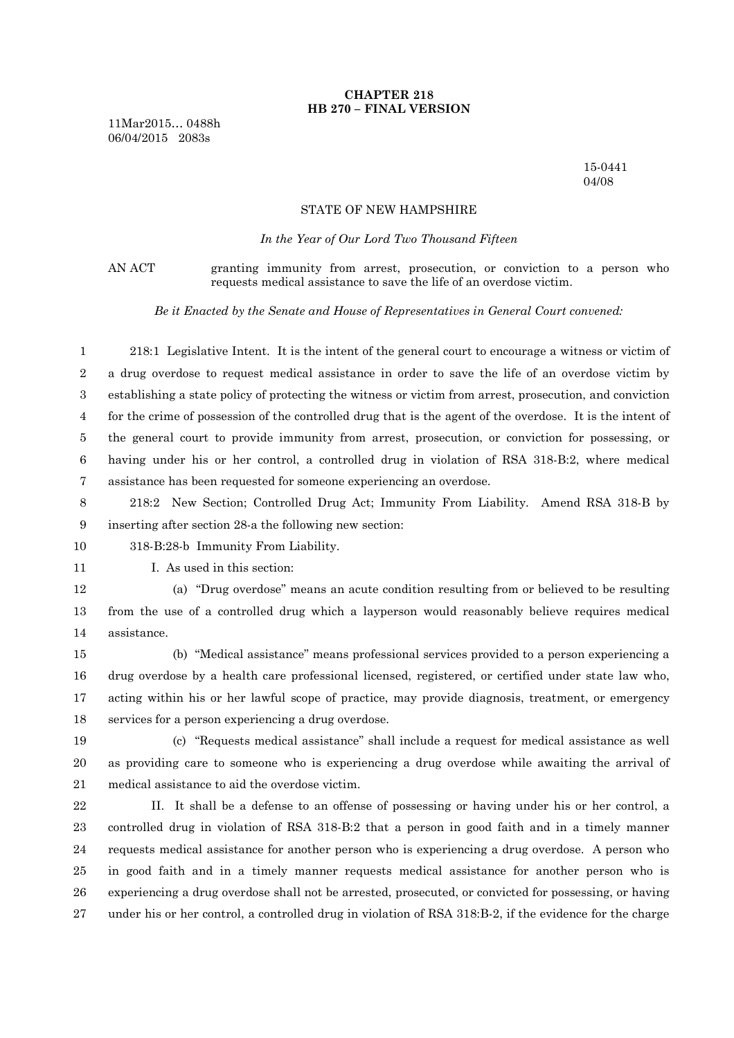# **CHAPTER 218 HB 270 – FINAL VERSION**

11Mar2015… 0488h 06/04/2015 2083s

> 15-0441 04/08

## STATE OF NEW HAMPSHIRE

#### *In the Year of Our Lord Two Thousand Fifteen*

AN ACT granting immunity from arrest, prosecution, or conviction to a person who requests medical assistance to save the life of an overdose victim.

*Be it Enacted by the Senate and House of Representatives in General Court convened:*

 218:1 Legislative Intent. It is the intent of the general court to encourage a witness or victim of a drug overdose to request medical assistance in order to save the life of an overdose victim by establishing a state policy of protecting the witness or victim from arrest, prosecution, and conviction for the crime of possession of the controlled drug that is the agent of the overdose. It is the intent of the general court to provide immunity from arrest, prosecution, or conviction for possessing, or having under his or her control, a controlled drug in violation of RSA 318-B:2, where medical assistance has been requested for someone experiencing an overdose.

 218:2 New Section; Controlled Drug Act; Immunity From Liability. Amend RSA 318-B by inserting after section 28-a the following new section:

318-B:28-b Immunity From Liability.

11 I. As used in this section:

 (a) "Drug overdose" means an acute condition resulting from or believed to be resulting from the use of a controlled drug which a layperson would reasonably believe requires medical assistance.

 (b) "Medical assistance" means professional services provided to a person experiencing a drug overdose by a health care professional licensed, registered, or certified under state law who, acting within his or her lawful scope of practice, may provide diagnosis, treatment, or emergency services for a person experiencing a drug overdose.

 (c) "Requests medical assistance" shall include a request for medical assistance as well as providing care to someone who is experiencing a drug overdose while awaiting the arrival of medical assistance to aid the overdose victim.

 II. It shall be a defense to an offense of possessing or having under his or her control, a controlled drug in violation of RSA 318-B:2 that a person in good faith and in a timely manner requests medical assistance for another person who is experiencing a drug overdose. A person who in good faith and in a timely manner requests medical assistance for another person who is experiencing a drug overdose shall not be arrested, prosecuted, or convicted for possessing, or having under his or her control, a controlled drug in violation of RSA 318:B-2, if the evidence for the charge